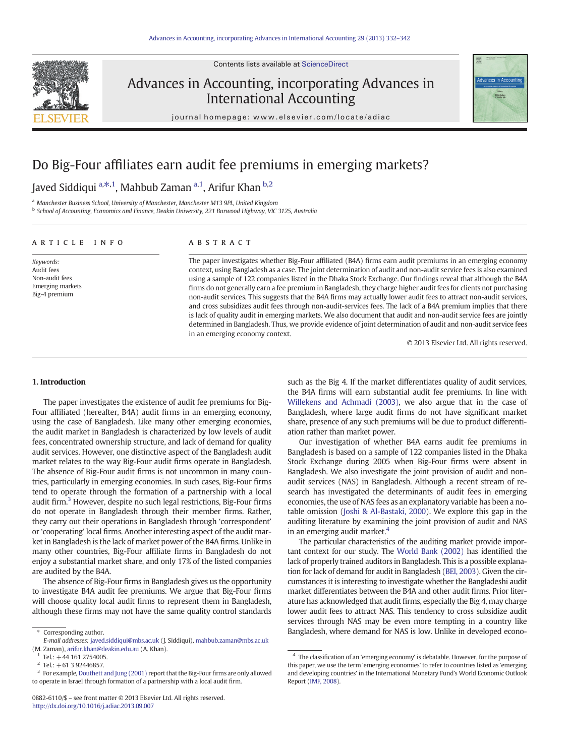Contents lists available at [ScienceDirect](http://www.sciencedirect.com/science/journal/08826110)



## Advances in Accounting, incorporating Advances in International Accounting



journal homepage: www.elsevier.com/locate/adiac

## Do Big-Four affiliates earn audit fee premiums in emerging markets?

## Javed Siddiqui <sup>a, $\ast$ ,1, Mahbub Zaman <sup>a,1</sup>, Arifur Khan <sup>b,2</sup></sup>

<sup>a</sup> Manchester Business School, University of Manchester, Manchester M13 9PL, United Kingdom

<sup>b</sup> School of Accounting, Economics and Finance, Deakin University, 221 Burwood Highway, VIC 3125, Australia

### article info abstract

Keywords: Audit fees Non-audit fees Emerging markets Big-4 premium

The paper investigates whether Big-Four affiliated (B4A) firms earn audit premiums in an emerging economy context, using Bangladesh as a case. The joint determination of audit and non-audit service fees is also examined using a sample of 122 companies listed in the Dhaka Stock Exchange. Our findings reveal that although the B4A firms do not generally earn a fee premium in Bangladesh, they charge higher audit fees for clients not purchasing non-audit services. This suggests that the B4A firms may actually lower audit fees to attract non-audit services, and cross subsidizes audit fees through non-audit-services fees. The lack of a B4A premium implies that there is lack of quality audit in emerging markets. We also document that audit and non-audit service fees are jointly determined in Bangladesh. Thus, we provide evidence of joint determination of audit and non-audit service fees in an emerging economy context.

© 2013 Elsevier Ltd. All rights reserved.

### 1. Introduction

The paper investigates the existence of audit fee premiums for Big-Four affiliated (hereafter, B4A) audit firms in an emerging economy, using the case of Bangladesh. Like many other emerging economies, the audit market in Bangladesh is characterized by low levels of audit fees, concentrated ownership structure, and lack of demand for quality audit services. However, one distinctive aspect of the Bangladesh audit market relates to the way Big-Four audit firms operate in Bangladesh. The absence of Big-Four audit firms is not uncommon in many countries, particularly in emerging economies. In such cases, Big-Four firms tend to operate through the formation of a partnership with a local audit firm. $3$  However, despite no such legal restrictions, Big-Four firms do not operate in Bangladesh through their member firms. Rather, they carry out their operations in Bangladesh through 'correspondent' or 'cooperating' local firms. Another interesting aspect of the audit market in Bangladesh is the lack of market power of the B4A firms. Unlike in many other countries, Big-Four affiliate firms in Bangladesh do not enjoy a substantial market share, and only 17% of the listed companies are audited by the B4A.

The absence of Big-Four firms in Bangladesh gives us the opportunity to investigate B4A audit fee premiums. We argue that Big-Four firms will choose quality local audit firms to represent them in Bangladesh, although these firms may not have the same quality control standards such as the Big 4. If the market differentiates quality of audit services, the B4A firms will earn substantial audit fee premiums. In line with [Willekens and Achmadi \(2003\)](#page--1-0), we also argue that in the case of Bangladesh, where large audit firms do not have significant market share, presence of any such premiums will be due to product differentiation rather than market power.

Our investigation of whether B4A earns audit fee premiums in Bangladesh is based on a sample of 122 companies listed in the Dhaka Stock Exchange during 2005 when Big-Four firms were absent in Bangladesh. We also investigate the joint provision of audit and nonaudit services (NAS) in Bangladesh. Although a recent stream of research has investigated the determinants of audit fees in emerging economies, the use of NAS fees as an explanatory variable has been a notable omission [\(Joshi & Al-Bastaki, 2000\)](#page--1-0). We explore this gap in the auditing literature by examining the joint provision of audit and NAS in an emerging audit market. $4$ 

The particular characteristics of the auditing market provide important context for our study. The [World Bank \(2002\)](#page--1-0) has identified the lack of properly trained auditors in Bangladesh. This is a possible explanation for lack of demand for audit in Bangladesh [\(BEI, 2003](#page--1-0)). Given the circumstances it is interesting to investigate whether the Bangladeshi audit market differentiates between the B4A and other audit firms. Prior literature has acknowledged that audit firms, especially the Big 4, may charge lower audit fees to attract NAS. This tendency to cross subsidize audit services through NAS may be even more tempting in a country like Bangladesh, where demand for NAS is low. Unlike in developed econo-

<sup>⁎</sup> Corresponding author.

E-mail addresses: [javed.siddiqui@mbs.ac.uk](mailto:javed.siddiqui@mbs.ac.uk) (J. Siddiqui), [mahbub.zaman@mbs.ac.uk](mailto:mahbub.zaman@mbs.ac.uk) (M. Zaman), [arifur.khan@deakin.edu.au](mailto:arifur.khan@deakin.edu.au) (A. Khan).

 $1$  Tel.:  $+44$  161 2754005.

 $2$  Tel.: +61 3 92446857.

<sup>&</sup>lt;sup>3</sup> For example, [Douthett and Jung \(2001\)](#page--1-0) report that the Big-Four firms are only allowed to operate in Israel through formation of a partnership with a local audit firm.

<sup>4</sup> The classification of an 'emerging economy' is debatable. However, for the purpose of this paper, we use the term 'emerging economies' to refer to countries listed as 'emerging and developing countries' in the International Monetary Fund's World Economic Outlook Report [\(IMF, 2008](#page--1-0)).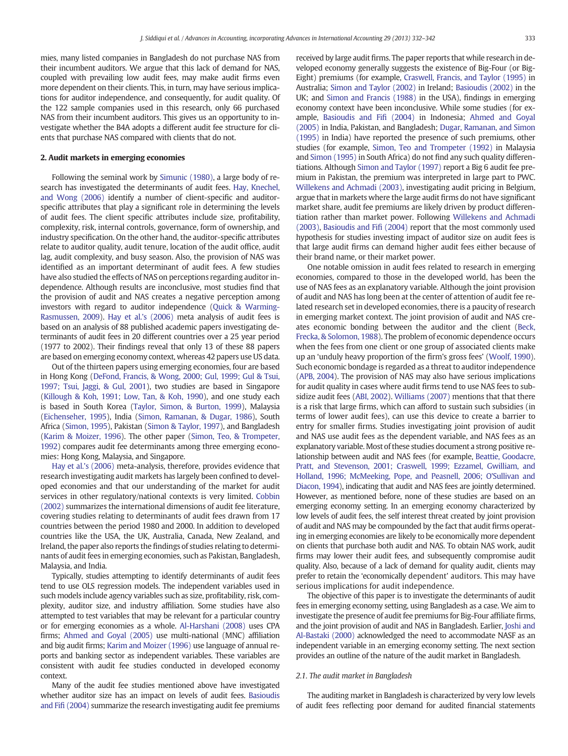mies, many listed companies in Bangladesh do not purchase NAS from their incumbent auditors. We argue that this lack of demand for NAS, coupled with prevailing low audit fees, may make audit firms even more dependent on their clients. This, in turn, may have serious implications for auditor independence, and consequently, for audit quality. Of the 122 sample companies used in this research, only 66 purchased NAS from their incumbent auditors. This gives us an opportunity to investigate whether the B4A adopts a different audit fee structure for clients that purchase NAS compared with clients that do not.

### 2. Audit markets in emerging economies

Following the seminal work by [Simunic \(1980\)](#page--1-0), a large body of research has investigated the determinants of audit fees. [Hay, Knechel,](#page--1-0) [and Wong \(2006\)](#page--1-0) identify a number of client-specific and auditorspecific attributes that play a significant role in determining the levels of audit fees. The client specific attributes include size, profitability, complexity, risk, internal controls, governance, form of ownership, and industry specification. On the other hand, the auditor-specific attributes relate to auditor quality, audit tenure, location of the audit office, audit lag, audit complexity, and busy season. Also, the provision of NAS was identified as an important determinant of audit fees. A few studies have also studied the effects of NAS on perceptions regarding auditor independence. Although results are inconclusive, most studies find that the provision of audit and NAS creates a negative perception among investors with regard to auditor independence [\(Quick & Warming-](#page--1-0)[Rasmussen, 2009](#page--1-0)). [Hay et al.'s \(2006\)](#page--1-0) meta analysis of audit fees is based on an analysis of 88 published academic papers investigating determinants of audit fees in 20 different countries over a 25 year period (1977 to 2002). Their findings reveal that only 13 of these 88 papers are based on emerging economy context, whereas 42 papers use US data.

Out of the thirteen papers using emerging economies, four are based in Hong Kong [\(DeFond, Francis, & Wong, 2000; Gul, 1999; Gul & Tsui,](#page--1-0) [1997; Tsui, Jaggi, & Gul, 2001](#page--1-0)), two studies are based in Singapore [\(Killough & Koh, 1991; Low, Tan, & Koh, 1990](#page--1-0)), and one study each is based in South Korea [\(Taylor, Simon, & Burton, 1999](#page--1-0)), Malaysia [\(Eichenseher, 1995\)](#page--1-0), India [\(Simon, Ramanan, & Dugar, 1986](#page--1-0)), South Africa ([Simon, 1995\)](#page--1-0), Pakistan ([Simon & Taylor, 1997\)](#page--1-0), and Bangladesh [\(Karim & Moizer, 1996\)](#page--1-0). The other paper ([Simon, Teo, & Trompeter,](#page--1-0) [1992](#page--1-0)) compares audit fee determinants among three emerging economies: Hong Kong, Malaysia, and Singapore.

[Hay et al.'s \(2006\)](#page--1-0) meta-analysis, therefore, provides evidence that research investigating audit markets has largely been confined to developed economies and that our understanding of the market for audit services in other regulatory/national contexts is very limited. [Cobbin](#page--1-0) [\(2002\)](#page--1-0) summarizes the international dimensions of audit fee literature, covering studies relating to determinants of audit fees drawn from 17 countries between the period 1980 and 2000. In addition to developed countries like the USA, the UK, Australia, Canada, New Zealand, and Ireland, the paper also reports the findings of studies relating to determinants of audit fees in emerging economies, such as Pakistan, Bangladesh, Malaysia, and India.

Typically, studies attempting to identify determinants of audit fees tend to use OLS regression models. The independent variables used in such models include agency variables such as size, profitability, risk, complexity, auditor size, and industry affiliation. Some studies have also attempted to test variables that may be relevant for a particular country or for emerging economies as a whole. [Al-Harshani \(2008\)](#page--1-0) uses CPA firms; [Ahmed and Goyal \(2005\)](#page--1-0) use multi-national (MNC) affiliation and big audit firms; [Karim and Moizer \(1996\)](#page--1-0) use language of annual reports and banking sector as independent variables. These variables are consistent with audit fee studies conducted in developed economy context.

Many of the audit fee studies mentioned above have investigated whether auditor size has an impact on levels of audit fees. [Basioudis](#page--1-0) and Fifi [\(2004\)](#page--1-0) summarize the research investigating audit fee premiums received by large audit firms. The paper reports that while research in developed economy generally suggests the existence of Big-Four (or Big-Eight) premiums (for example, [Craswell, Francis, and Taylor \(1995\)](#page--1-0) in Australia; [Simon and Taylor \(2002\)](#page--1-0) in Ireland; [Basioudis \(2002\)](#page--1-0) in the UK; and [Simon and Francis \(1988\)](#page--1-0) in the USA), findings in emerging economy context have been inconclusive. While some studies (for example, [Basioudis and Fi](#page--1-0)fi (2004) in Indonesia; [Ahmed and Goyal](#page--1-0) [\(2005\)](#page--1-0) in India, Pakistan, and Bangladesh; [Dugar, Ramanan, and Simon](#page--1-0) [\(1995\)](#page--1-0) in India) have reported the presence of such premiums, other studies (for example, [Simon, Teo and Trompeter \(1992\)](#page--1-0) in Malaysia and [Simon \(1995\)](#page--1-0) in South Africa) do not find any such quality differentiations. Although [Simon and Taylor \(1997\)](#page--1-0) report a Big 6 audit fee premium in Pakistan, the premium was interpreted in large part to PWC. [Willekens and Achmadi \(2003\),](#page--1-0) investigating audit pricing in Belgium, argue that in markets where the large audit firms do not have significant market share, audit fee premiums are likely driven by product differentiation rather than market power. Following [Willekens and Achmadi](#page--1-0) [\(2003\)](#page--1-0), [Basioudis and Fi](#page--1-0)fi (2004) report that the most commonly used hypothesis for studies investing impact of auditor size on audit fees is that large audit firms can demand higher audit fees either because of their brand name, or their market power.

One notable omission in audit fees related to research in emerging economies, compared to those in the developed world, has been the use of NAS fees as an explanatory variable. Although the joint provision of audit and NAS has long been at the center of attention of audit fee related research set in developed economies, there is a paucity of research in emerging market context. The joint provision of audit and NAS creates economic bonding between the auditor and the client [\(Beck,](#page--1-0) [Frecka, & Solomon, 1988](#page--1-0)). The problem of economic dependence occurs when the fees from one client or one group of associated clients make up an 'unduly heavy proportion of the firm's gross fees' [\(Woolf, 1990](#page--1-0)). Such economic bondage is regarded as a threat to auditor independence [\(APB, 2004](#page--1-0)). The provision of NAS may also have serious implications for audit quality in cases where audit firms tend to use NAS fees to subsidize audit fees ([ABI, 2002\)](#page--1-0). [Williams \(2007\)](#page--1-0) mentions that that there is a risk that large firms, which can afford to sustain such subsidies (in terms of lower audit fees), can use this device to create a barrier to entry for smaller firms. Studies investigating joint provision of audit and NAS use audit fees as the dependent variable, and NAS fees as an explanatory variable. Most of these studies document a strong positive relationship between audit and NAS fees (for example, [Beattie, Goodacre,](#page--1-0) [Pratt, and Stevenson, 2001; Craswell, 1999; Ezzamel,](#page--1-0) Gwilliam, and [Holland, 1996; McMeeking, Pope, and](#page--1-0) Peasnell, 2006; O'Sullivan and [Diacon, 1994\)](#page--1-0), indicating that audit and NAS fees are jointly determined. However, as mentioned before, none of these studies are based on an emerging economy setting. In an emerging economy characterized by low levels of audit fees, the self interest threat created by joint provision of audit and NAS may be compounded by the fact that audit firms operating in emerging economies are likely to be economically more dependent on clients that purchase both audit and NAS. To obtain NAS work, audit firms may lower their audit fees, and subsequently compromise audit quality. Also, because of a lack of demand for quality audit, clients may prefer to retain the 'economically dependent' auditors. This may have serious implications for audit independence.

The objective of this paper is to investigate the determinants of audit fees in emerging economy setting, using Bangladesh as a case. We aim to investigate the presence of audit fee premiums for Big-Four affiliate firms, and the joint provision of audit and NAS in Bangladesh. Earlier, [Joshi and](#page--1-0) [Al-Bastaki \(2000\)](#page--1-0) acknowledged the need to accommodate NASF as an independent variable in an emerging economy setting. The next section provides an outline of the nature of the audit market in Bangladesh.

### 2.1. The audit market in Bangladesh

The auditing market in Bangladesh is characterized by very low levels of audit fees reflecting poor demand for audited financial statements